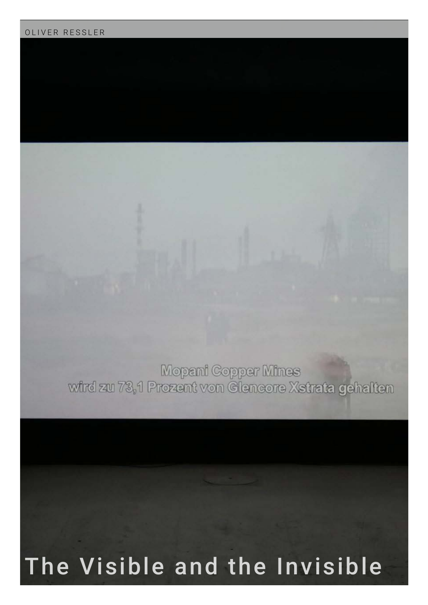## OLIVER RESSLER

Mopani Copper Mines<br>wird zu 73,1 Prezent von Gieneore Xstrata gehalten

## The Visible and the Invisible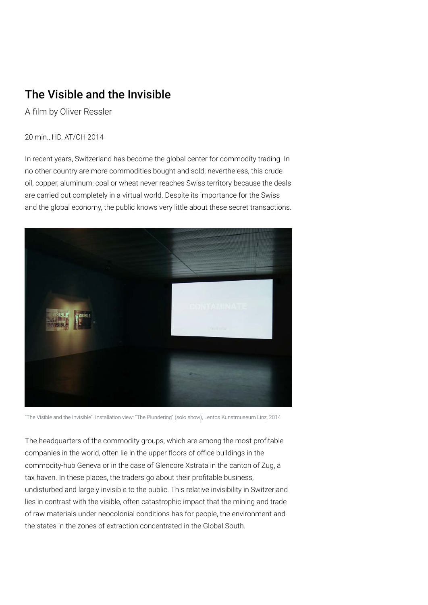## The Visible and the Invisible

A film by Oliver Ressler

## 20 min., HD, AT/CH 2014

In recent years, Switzerland has become the global center for commodity trading. In no other country are more commodities bought and sold; nevertheless, this crude oil, copper, aluminum, coal or wheat never reaches Swiss territory because the deals are carried out completely in a virtual world. Despite its importance for the Swiss and the global economy, the public knows very little about these secret transactions.



"The Visible and the Invisible". Installation view: "The Plundering" (solo show), Lentos Kunstmuseum Linz, 2014

The headquarters of the commodity groups, which are among the most profitable companies in the world, often lie in the upper floors of office buildings in the commodity-hub Geneva or in the case of Glencore Xstrata in the canton of Zug, a tax haven. In these places, the traders go about their profitable business, undisturbed and largely invisible to the public. This relative invisibility in Switzerland lies in contrast with the visible, often catastrophic impact that the mining and trade of raw materials under neocolonial conditions has for people, the environment and the states in the zones of extraction concentrated in the Global South.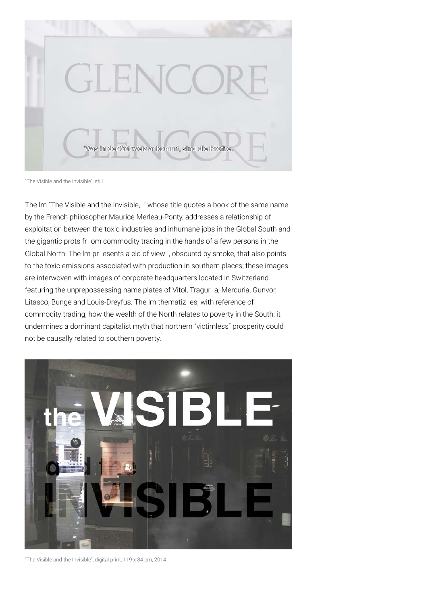

"The Visible and the Invisible", still

The lm "The Visible and the Invisible, " whose title quotes a book of the same name by the French philosopher Maurice Merleau-Ponty, addresses a relationship of exploitation between the toxic industries and inhumane jobs in the Global South and the gigantic prots fr om commodity trading in the hands of a few persons in the Global North. The lm pr esents a eld of view , obscured by smoke, that also points to the toxic emissions associated with production in southern places; these images are interwoven with images of corporate headquarters located in Switzerland featuring the unprepossessing name plates of Vitol, Tragur a, Mercuria, Gunvor, Litasco, Bunge and Louis-Dreyfus. The lm thematiz es, with reference of commodity trading, how the wealth of the North relates to poverty in the South; it undermines a dominant capitalist myth that northern "victimless" prosperity could not be causally related to southern poverty.



"The Visible and the Invisible", digital print, 119 x 84 cm, 2014